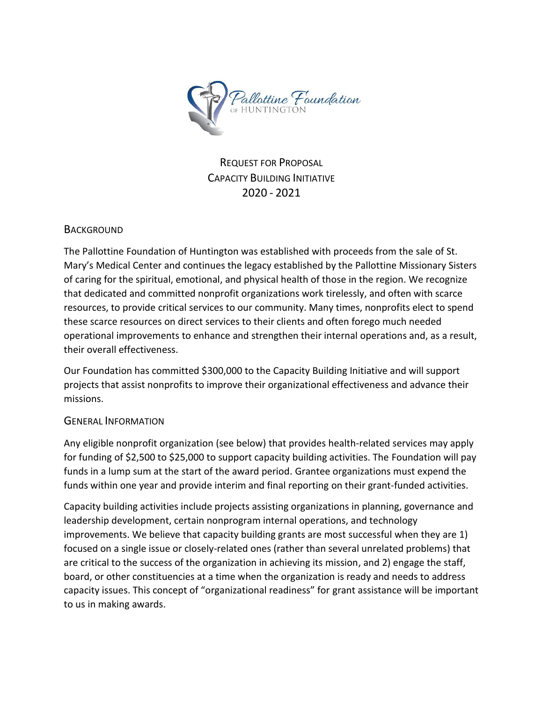

REQUEST FOR PROPOSAL CAPACITY BUILDING INITIATIVE 2020 - 2021

## **BACKGROUND**

The Pallottine Foundation of Huntington was established with proceeds from the sale of St. Mary's Medical Center and continues the legacy established by the Pallottine Missionary Sisters of caring for the spiritual, emotional, and physical health of those in the region. We recognize that dedicated and committed nonprofit organizations work tirelessly, and often with scarce resources, to provide critical services to our community. Many times, nonprofits elect to spend these scarce resources on direct services to their clients and often forego much needed operational improvements to enhance and strengthen their internal operations and, as a result, their overall effectiveness.

Our Foundation has committed \$300,000 to the Capacity Building Initiative and will support projects that assist nonprofits to improve their organizational effectiveness and advance their missions.

## GENERAL INFORMATION

Any eligible nonprofit organization (see below) that provides health-related services may apply for funding of \$2,500 to \$25,000 to support capacity building activities. The Foundation will pay funds in a lump sum at the start of the award period. Grantee organizations must expend the funds within one year and provide interim and final reporting on their grant-funded activities.

Capacity building activities include projects assisting organizations in planning, governance and leadership development, certain nonprogram internal operations, and technology improvements. We believe that capacity building grants are most successful when they are 1) focused on a single issue or closely-related ones (rather than several unrelated problems) that are critical to the success of the organization in achieving its mission, and 2) engage the staff, board, or other constituencies at a time when the organization is ready and needs to address capacity issues. This concept of "organizational readiness" for grant assistance will be important to us in making awards.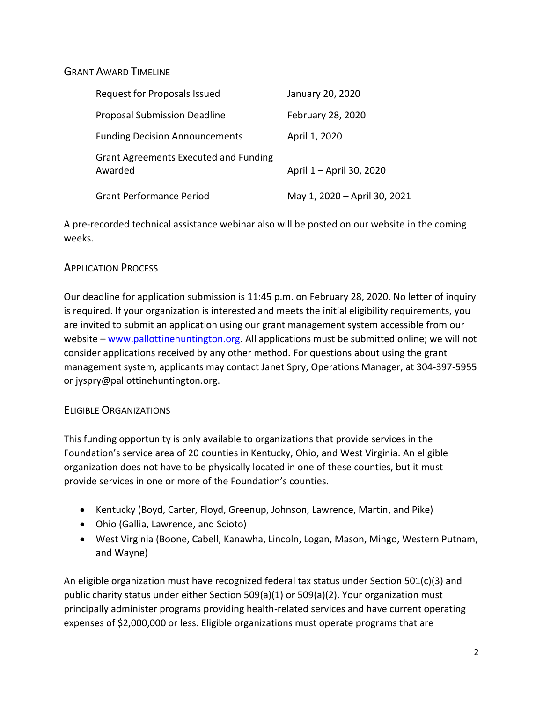## GRANT AWARD TIMELINE

| Request for Proposals Issued                            | January 20, 2020             |
|---------------------------------------------------------|------------------------------|
| <b>Proposal Submission Deadline</b>                     | February 28, 2020            |
| <b>Funding Decision Announcements</b>                   | April 1, 2020                |
| <b>Grant Agreements Executed and Funding</b><br>Awarded | April 1 - April 30, 2020     |
| <b>Grant Performance Period</b>                         | May 1, 2020 - April 30, 2021 |

A pre-recorded technical assistance webinar also will be posted on our website in the coming weeks.

## APPLICATION PROCESS

Our deadline for application submission is 11:45 p.m. on February 28, 2020. No letter of inquiry is required. If your organization is interested and meets the initial eligibility requirements, you are invited to submit an application using our grant management system accessible from our website – [www.pallottinehuntington.org.](http://www.pallottinehuntington.org/) All applications must be submitted online; we will not consider applications received by any other method. For questions about using the grant management system, applicants may contact Janet Spry, Operations Manager, at 304-397-5955 or jyspry@pallottinehuntington.org.

## ELIGIBLE ORGANIZATIONS

This funding opportunity is only available to organizations that provide services in the Foundation's service area of 20 counties in Kentucky, Ohio, and West Virginia. An eligible organization does not have to be physically located in one of these counties, but it must provide services in one or more of the Foundation's counties.

- Kentucky (Boyd, Carter, Floyd, Greenup, Johnson, Lawrence, Martin, and Pike)
- Ohio (Gallia, Lawrence, and Scioto)
- West Virginia (Boone, Cabell, Kanawha, Lincoln, Logan, Mason, Mingo, Western Putnam, and Wayne)

An eligible organization must have recognized federal tax status under Section 501(c)(3) and public charity status under either Section 509(a)(1) or 509(a)(2). Your organization must principally administer programs providing health-related services and have current operating expenses of \$2,000,000 or less. Eligible organizations must operate programs that are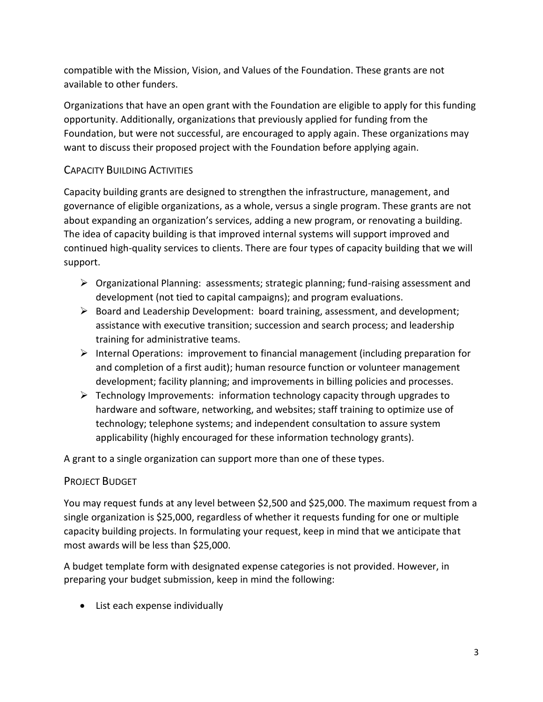compatible with the Mission, Vision, and Values of the Foundation. These grants are not available to other funders.

Organizations that have an open grant with the Foundation are eligible to apply for this funding opportunity. Additionally, organizations that previously applied for funding from the Foundation, but were not successful, are encouraged to apply again. These organizations may want to discuss their proposed project with the Foundation before applying again.

# CAPACITY BUILDING ACTIVITIES

Capacity building grants are designed to strengthen the infrastructure, management, and governance of eligible organizations, as a whole, versus a single program. These grants are not about expanding an organization's services, adding a new program, or renovating a building. The idea of capacity building is that improved internal systems will support improved and continued high-quality services to clients. There are four types of capacity building that we will support.

- $\triangleright$  Organizational Planning: assessments; strategic planning; fund-raising assessment and development (not tied to capital campaigns); and program evaluations.
- ➢ Board and Leadership Development: board training, assessment, and development; assistance with executive transition; succession and search process; and leadership training for administrative teams.
- $\triangleright$  Internal Operations: improvement to financial management (including preparation for and completion of a first audit); human resource function or volunteer management development; facility planning; and improvements in billing policies and processes.
- $\triangleright$  Technology Improvements: information technology capacity through upgrades to hardware and software, networking, and websites; staff training to optimize use of technology; telephone systems; and independent consultation to assure system applicability (highly encouraged for these information technology grants).

A grant to a single organization can support more than one of these types.

## PROJECT BUDGET

You may request funds at any level between \$2,500 and \$25,000. The maximum request from a single organization is \$25,000, regardless of whether it requests funding for one or multiple capacity building projects. In formulating your request, keep in mind that we anticipate that most awards will be less than \$25,000.

A budget template form with designated expense categories is not provided. However, in preparing your budget submission, keep in mind the following:

• List each expense individually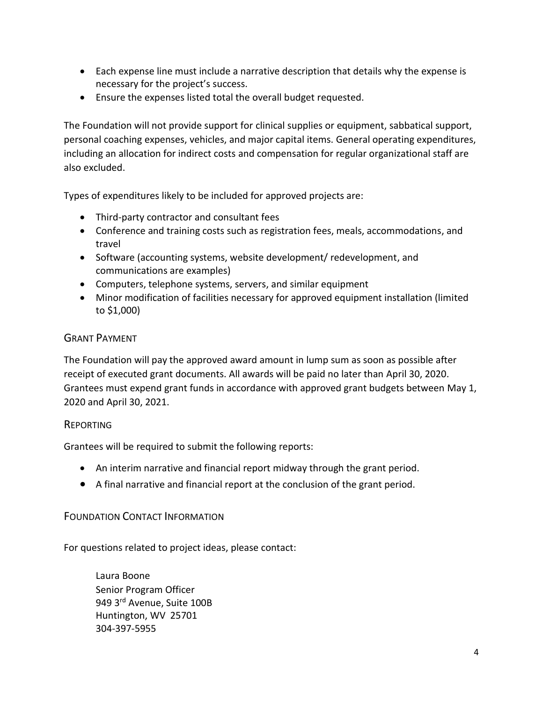- Each expense line must include a narrative description that details why the expense is necessary for the project's success.
- Ensure the expenses listed total the overall budget requested.

The Foundation will not provide support for clinical supplies or equipment, sabbatical support, personal coaching expenses, vehicles, and major capital items. General operating expenditures, including an allocation for indirect costs and compensation for regular organizational staff are also excluded.

Types of expenditures likely to be included for approved projects are:

- Third-party contractor and consultant fees
- Conference and training costs such as registration fees, meals, accommodations, and travel
- Software (accounting systems, website development/ redevelopment, and communications are examples)
- Computers, telephone systems, servers, and similar equipment
- Minor modification of facilities necessary for approved equipment installation (limited to \$1,000)

#### GRANT PAYMENT

The Foundation will pay the approved award amount in lump sum as soon as possible after receipt of executed grant documents. All awards will be paid no later than April 30, 2020. Grantees must expend grant funds in accordance with approved grant budgets between May 1, 2020 and April 30, 2021.

## REPORTING

Grantees will be required to submit the following reports:

- An interim narrative and financial report midway through the grant period.
- A final narrative and financial report at the conclusion of the grant period.

## FOUNDATION CONTACT INFORMATION

For questions related to project ideas, please contact:

Laura Boone Senior Program Officer 949 3rd Avenue, Suite 100B Huntington, WV 25701 304-397-5955